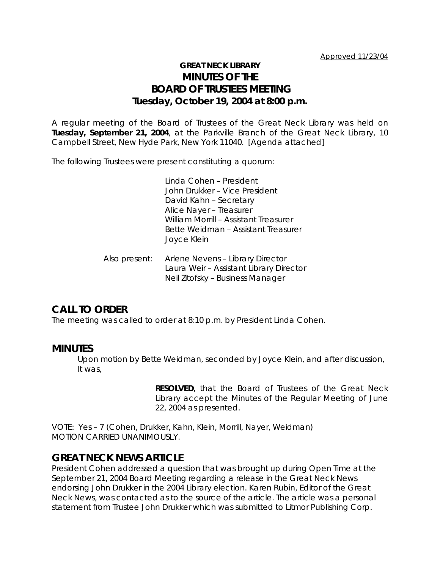## **GREAT NECK LIBRARY MINUTES OF THE BOARD OF TRUSTEES MEETING Tuesday, October 19, 2004 at 8:00 p.m.**

A regular meeting of the Board of Trustees of the Great Neck Library was held on **Tuesday, September 21, 2004**, at the Parkville Branch of the Great Neck Library, 10 Campbell Street, New Hyde Park, New York 11040. [Agenda attached]

The following Trustees were present constituting a quorum:

Linda Cohen – President John Drukker – Vice President David Kahn – Secretary Alice Nayer – Treasurer William Morrill – Assistant Treasurer Bette Weidman – Assistant Treasurer Joyce Klein

Also present: Arlene Nevens – Library Director Laura Weir – Assistant Library Director Neil Zitofsky – Business Manager

## **CALL TO ORDER**

The meeting was called to order at 8:10 p.m. by President Linda Cohen.

### **MINUTES**

Upon motion by Bette Weidman, seconded by Joyce Klein, and after discussion, It was,

> **RESOLVED**, that the Board of Trustees of the Great Neck Library accept the Minutes of the Regular Meeting of June 22, 2004 as presented.

VOTE:Yes – 7 (Cohen, Drukker, Kahn, Klein, Morrill, Nayer, Weidman) *MOTION CARRIED UNANIMOUSLY.*

### **GREAT NECK NEWS ARTICLE**

President Cohen addressed a question that was brought up during Open Time at the September 21, 2004 Board Meeting regarding a release in the Great Neck News endorsing John Drukker in the 2004 Library election. Karen Rubin, Editor of the Great Neck News, was contacted as to the source of the article. The article was a personal statement from Trustee John Drukker which was submitted to Litmor Publishing Corp.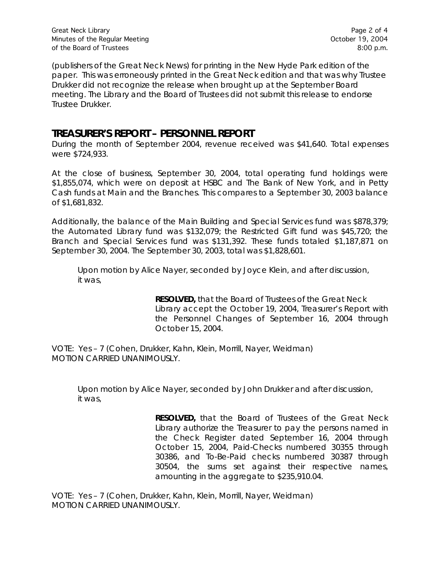(publishers of the Great Neck News) for printing in the New Hyde Park edition of the paper. This was erroneously printed in the Great Neck edition and that was why Trustee Drukker did not recognize the release when brought up at the September Board meeting. The Library and the Board of Trustees did not submit this release to endorse Trustee Drukker.

## **TREASURER'S REPORT – PERSONNEL REPORT**

During the month of September 2004, revenue received was \$41,640. Total expenses were \$724,933.

At the close of business, September 30, 2004, total operating fund holdings were \$1,855,074, which were on deposit at HSBC and The Bank of New York, and in Petty Cash funds at Main and the Branches. This compares to a September 30, 2003 balance of \$1,681,832.

Additionally, the balance of the Main Building and Special Services fund was \$878,379; the Automated Library fund was \$132,079; the Restricted Gift fund was \$45,720; the Branch and Special Services fund was \$131,392. These funds totaled \$1,187,871 on September 30, 2004. The September 30, 2003, total was \$1,828,601.

Upon motion by Alice Nayer, seconded by Joyce Klein, and after discussion, it was,

> **RESOLVED,** that the Board of Trustees of the Great Neck Library accept the October 19, 2004, Treasurer's Report with the Personnel Changes of September 16, 2004 through October 15, 2004.

VOTE:Yes – 7 (Cohen, Drukker, Kahn, Klein, Morrill, Nayer, Weidman) *MOTION CARRIED UNANIMOUSLY.*

Upon motion by Alice Nayer, seconded by John Drukker and after discussion, it was,

> **RESOLVED,** that the Board of Trustees of the Great Neck Library authorize the Treasurer to pay the persons named in the Check Register dated September 16, 2004 through October 15, 2004, Paid-Checks numbered 30355 through 30386, and To-Be-Paid checks numbered 30387 through 30504, the sums set against their respective names, amounting in the aggregate to \$235,910.04.

VOTE:Yes – 7 (Cohen, Drukker, Kahn, Klein, Morrill, Nayer, Weidman) *MOTION CARRIED UNANIMOUSLY.*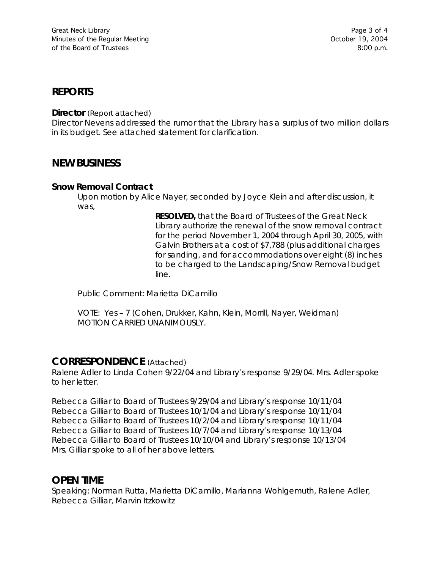### **REPORTS**

**Director** (Report attached)

Director Nevens addressed the rumor that the Library has a surplus of two million dollars in its budget. See attached statement for clarification.

## **NEW BUSINESS**

#### **Snow Removal Contract**

Upon motion by Alice Nayer, seconded by Joyce Klein and after discussion, it was,

> **RESOLVED,** that the Board of Trustees of the Great Neck Library authorize the renewal of the snow removal contract for the period November 1, 2004 through April 30, 2005, with Galvin Brothers at a cost of \$7,788 (plus additional charges for sanding, and for accommodations over eight (8) inches to be charged to the Landscaping/Snow Removal budget line.

Public Comment: Marietta DiCamillo

VOTE:Yes – 7 (Cohen, Drukker, Kahn, Klein, Morrill, Nayer, Weidman) *MOTION CARRIED UNANIMOUSLY.*

#### **CORRESPONDENCE** (Attached)

Ralene Adler to Linda Cohen 9/22/04 and Library's response 9/29/04. Mrs. Adler spoke to her letter.

Rebecca Gilliar to Board of Trustees 9/29/04 and Library's response 10/11/04 Rebecca Gilliar to Board of Trustees 10/1/04 and Library's response 10/11/04 Rebecca Gilliar to Board of Trustees 10/2/04 and Library's response 10/11/04 Rebecca Gilliar to Board of Trustees 10/7/04 and Library's response 10/13/04 Rebecca Gilliar to Board of Trustees 10/10/04 and Library's response 10/13/04 Mrs. Gilliar spoke to all of her above letters.

### **OPEN TIME**

Speaking: Norman Rutta, Marietta DiCamillo, Marianna Wohlgemuth, Ralene Adler, Rebecca Gilliar, Marvin Itzkowitz